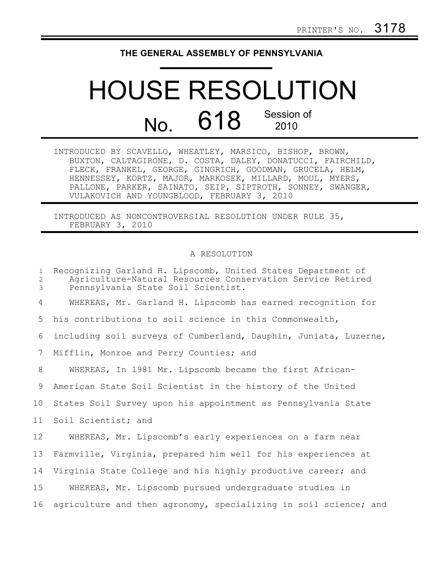## **THE GENERAL ASSEMBLY OF PENNSYLVANIA**

## HOUSE RESOLUTION No. 618 Session of 2010

INTRODUCED BY SCAVELLO, WHEATLEY, MARSICO, BISHOP, BROWN, BUXTON, CALTAGIRONE, D. COSTA, DALEY, DONATUCCI, FAIRCHILD, FLECK, FRANKEL, GEORGE, GINGRICH, GOODMAN, GRUCELA, HELM, HENNESSEY, KORTZ, MAJOR, MARKOSEK, MILLARD, MOUL, MYERS, PALLONE, PARKER, SAINATO, SEIP, SIPTROTH, SONNEY, SWANGER, VULAKOVICH AND YOUNGBLOOD, FEBRUARY 3, 2010

INTRODUCED AS NONCONTROVERSIAL RESOLUTION UNDER RULE 35, FEBRUARY 3, 2010

## A RESOLUTION

| $\mathbf{1}$<br>2<br>3 | Recognizing Garland H. Lipscomb, United States Department of<br>Agriculture-Natural Resources Conservation Service Retired<br>Pennsylvania State Soil Scientist. |
|------------------------|------------------------------------------------------------------------------------------------------------------------------------------------------------------|
| 4                      | WHEREAS, Mr. Garland H. Lipscomb has earned recognition for                                                                                                      |
| 5                      | his contributions to soil science in this Commonwealth,                                                                                                          |
| 6                      | including soil surveys of Cumberland, Dauphin, Juniata, Luzerne,                                                                                                 |
| 7                      | Mifflin, Monroe and Perry Counties; and                                                                                                                          |
| 8                      | WHEREAS, In 1981 Mr. Lipscomb became the first African-                                                                                                          |
| 9                      | American State Soil Scientist in the history of the United                                                                                                       |
| 10 <sub>o</sub>        | States Soil Survey upon his appointment as Pennsylvania State                                                                                                    |
| 11                     | Soil Scientist; and                                                                                                                                              |
| 12                     | WHEREAS, Mr. Lipscomb's early experiences on a farm near                                                                                                         |
| 13                     | Farmville, Virginia, prepared him well for his experiences at                                                                                                    |
| 14                     | Virginia State College and his highly productive career; and                                                                                                     |
| 15                     | WHEREAS, Mr. Lipscomb pursued undergraduate studies in                                                                                                           |
| 16                     | agriculture and then agronomy, specializing in soil science; and                                                                                                 |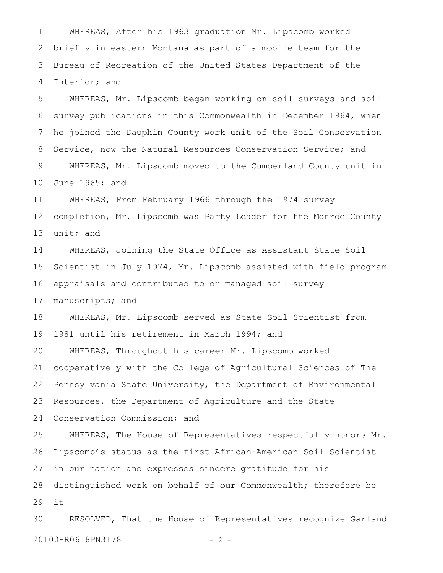WHEREAS, After his 1963 graduation Mr. Lipscomb worked briefly in eastern Montana as part of a mobile team for the Bureau of Recreation of the United States Department of the Interior; and 1 2 3 4

WHEREAS, Mr. Lipscomb began working on soil surveys and soil survey publications in this Commonwealth in December 1964, when he joined the Dauphin County work unit of the Soil Conservation Service, now the Natural Resources Conservation Service; and WHEREAS, Mr. Lipscomb moved to the Cumberland County unit in June 1965; and 5 6 7 8 9 10

WHEREAS, From February 1966 through the 1974 survey completion, Mr. Lipscomb was Party Leader for the Monroe County unit; and 11 12 13

WHEREAS, Joining the State Office as Assistant State Soil Scientist in July 1974, Mr. Lipscomb assisted with field program appraisals and contributed to or managed soil survey manuscripts; and 14 15 16 17

WHEREAS, Mr. Lipscomb served as State Soil Scientist from 1981 until his retirement in March 1994; and 18 19

WHEREAS, Throughout his career Mr. Lipscomb worked cooperatively with the College of Agricultural Sciences of The Pennsylvania State University, the Department of Environmental Resources, the Department of Agriculture and the State Conservation Commission; and 20 21 22 23 24

WHEREAS, The House of Representatives respectfully honors Mr. Lipscomb's status as the first African-American Soil Scientist in our nation and expresses sincere gratitude for his distinguished work on behalf of our Commonwealth; therefore be it 25 26 27 28 29

RESOLVED, That the House of Representatives recognize Garland 20100HR0618PN3178 - 2 -30